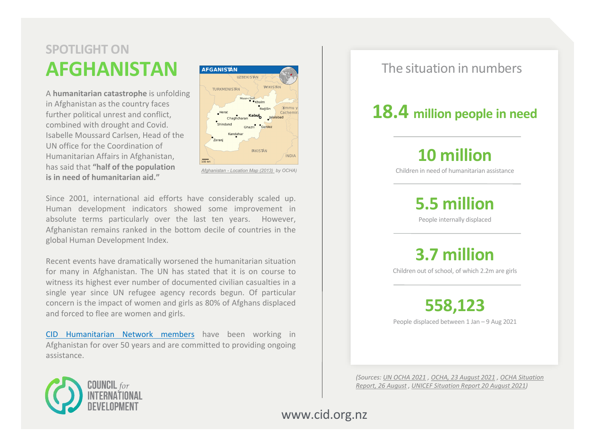# **AFGHANISTAN SPOTLIGHT ON**

A **humanitarian catastrophe** is unfolding in Afghanistan as the country faces further political unrest and conflict, combined with drought and Covid. Isabelle Moussard Carlsen, Head of the UN office for the Coordination of Humanitarian Affairs in Afghanistan, has said that **"half of the population is in need of humanitarian aid."**



*Afghanistan - [Location Map \(2013\)](https://commons.wikimedia.org/wiki/File:Afghanistan_-_Location_Map_(2013)_-_AFG_-_UNOCHA.svg) by OCHA)*

Since 2001, international aid efforts have considerably scaled up. Human development indicators showed some improvement in absolute terms particularly over the last ten years. However, Afghanistan remains ranked in the bottom decile of countries in the global Human Development Index.

Recent events have dramatically worsened the humanitarian situation for many in Afghanistan. The UN has stated that it is on course to witness its highest ever number of documented civilian casualties in a single year since UN refugee agency records begun. Of particular concern is the impact of women and girls as 80% of Afghans displaced and forced to flee are women and girls.

CID [Humanitarian](https://www.cid.org.nz/about-us/humanitarian-network/) Network members have been working in Afghanistan for over 50 years and are committed to providing ongoing assistance.

#### The situation in numbers

## **18.4 million people in need**

# **10 million**

Children in need of humanitarian assistance

**5.5 million**

People internally displaced

**3.7 million**

Children out of school, of which 2.2m are girls

**558,123**

People displaced between 1 Jan – 9 Aug 2021

*(Sources: [UN OCHA 2021](https://www.unocha.org/afghanistan/about-ocha-Afghanistan) , [OCHA, 23 August 2021](https://www.humanitarianresponse.info/en/operations/afghanistan/idps) , OCHA Situation Report, 26 August [, UNICEF Situation Report 20 August 2021\)](https://reliefweb.int/sites/reliefweb.int/files/resources/IOM%20Afghanistan%20Situation%20External%20Sitrep%20%232_26082021.pdf)*



www.cid.org.nz